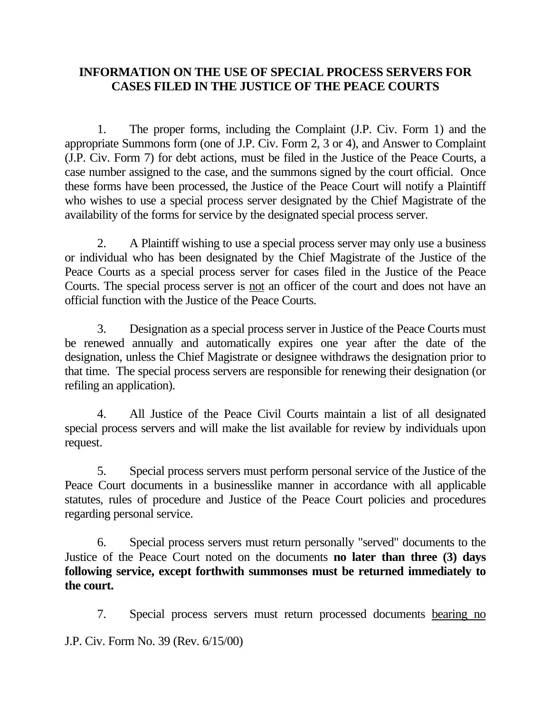## **INFORMATION ON THE USE OF SPECIAL PROCESS SERVERS FOR CASES FILED IN THE JUSTICE OF THE PEACE COURTS**

1. The proper forms, including the Complaint (J.P. Civ. Form 1) and the appropriate Summons form (one of J.P. Civ. Form 2, 3 or 4), and Answer to Complaint (J.P. Civ. Form 7) for debt actions, must be filed in the Justice of the Peace Courts, a case number assigned to the case, and the summons signed by the court official. Once these forms have been processed, the Justice of the Peace Court will notify a Plaintiff who wishes to use a special process server designated by the Chief Magistrate of the availability of the forms for service by the designated special process server.

2. A Plaintiff wishing to use a special process server may only use a business or individual who has been designated by the Chief Magistrate of the Justice of the Peace Courts as a special process server for cases filed in the Justice of the Peace Courts. The special process server is not an officer of the court and does not have an official function with the Justice of the Peace Courts.

3. Designation as a special process server in Justice of the Peace Courts must be renewed annually and automatically expires one year after the date of the designation, unless the Chief Magistrate or designee withdraws the designation prior to that time. The special process servers are responsible for renewing their designation (or refiling an application).

4. All Justice of the Peace Civil Courts maintain a list of all designated special process servers and will make the list available for review by individuals upon request.

5. Special process servers must perform personal service of the Justice of the Peace Court documents in a businesslike manner in accordance with all applicable statutes, rules of procedure and Justice of the Peace Court policies and procedures regarding personal service.

6. Special process servers must return personally "served" documents to the Justice of the Peace Court noted on the documents **no later than three (3) days following service, except forthwith summonses must be returned immediately to the court.**

J.P. Civ. Form No. 39 (Rev. 6/15/00) 7. Special process servers must return processed documents bearing no